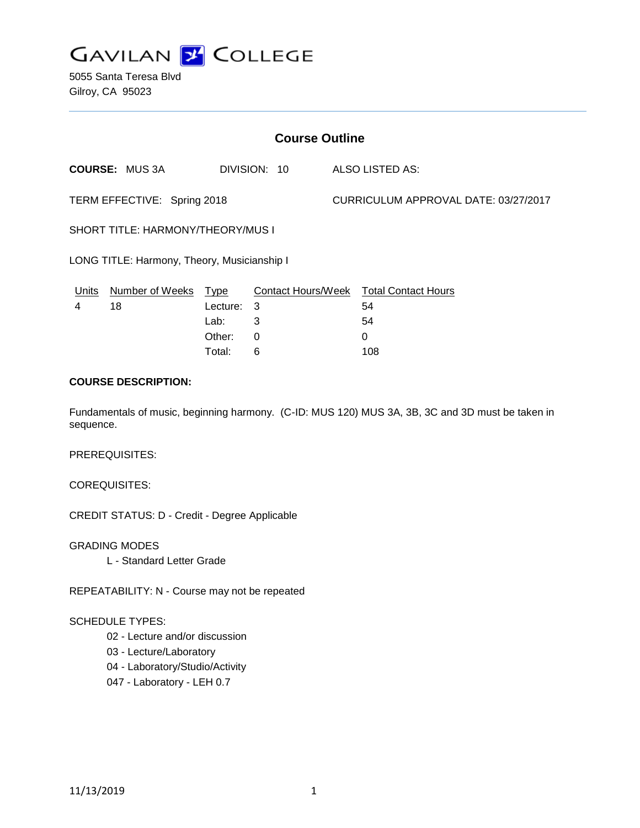

5055 Santa Teresa Blvd Gilroy, CA 95023

| <b>Course Outline</b>                       |                       |          |              |                                      |                                        |
|---------------------------------------------|-----------------------|----------|--------------|--------------------------------------|----------------------------------------|
|                                             | <b>COURSE: MUS 3A</b> |          | DIVISION: 10 |                                      | ALSO LISTED AS:                        |
| TERM EFFECTIVE: Spring 2018                 |                       |          |              | CURRICULUM APPROVAL DATE: 03/27/2017 |                                        |
| SHORT TITLE: HARMONY/THEORY/MUS I           |                       |          |              |                                      |                                        |
| LONG TITLE: Harmony, Theory, Musicianship I |                       |          |              |                                      |                                        |
| Units                                       | Number of Weeks       | Type     |              |                                      | Contact Hours/Week Total Contact Hours |
| 4                                           | 18                    | Lecture: | 3            |                                      | 54                                     |
|                                             |                       | Lab:     | 3            |                                      | 54                                     |
|                                             |                       | Other:   | $\Omega$     |                                      | 0                                      |
|                                             |                       | Total:   | 6            |                                      | 108                                    |

## **COURSE DESCRIPTION:**

Fundamentals of music, beginning harmony. (C-ID: MUS 120) MUS 3A, 3B, 3C and 3D must be taken in sequence.

PREREQUISITES:

COREQUISITES:

CREDIT STATUS: D - Credit - Degree Applicable

GRADING MODES L - Standard Letter Grade

REPEATABILITY: N - Course may not be repeated

### SCHEDULE TYPES:

- 02 Lecture and/or discussion
- 03 Lecture/Laboratory
- 04 Laboratory/Studio/Activity
- 047 Laboratory LEH 0.7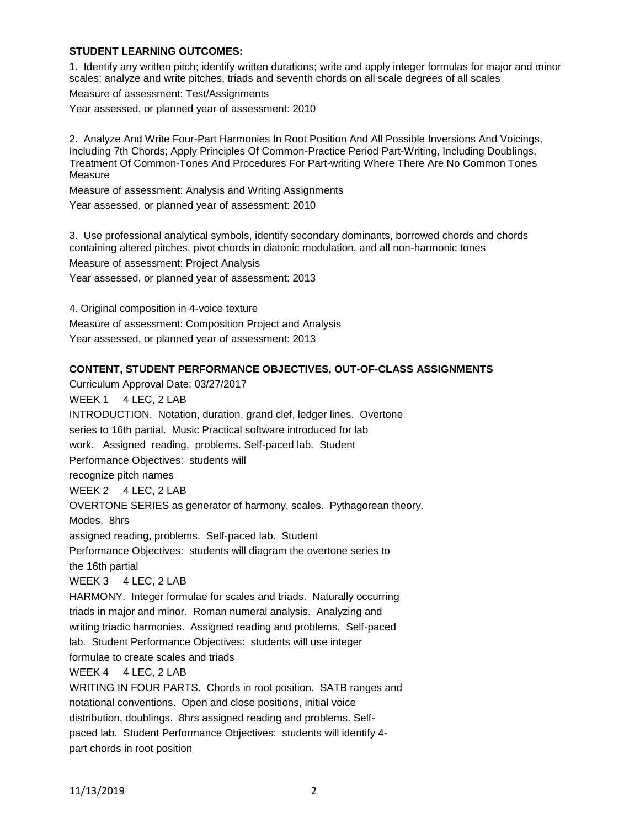### **STUDENT LEARNING OUTCOMES:**

1. Identify any written pitch; identify written durations; write and apply integer formulas for major and minor scales; analyze and write pitches, triads and seventh chords on all scale degrees of all scales

Measure of assessment: Test/Assignments

Year assessed, or planned year of assessment: 2010

2. Analyze And Write Four-Part Harmonies In Root Position And All Possible Inversions And Voicings, Including 7th Chords; Apply Principles Of Common-Practice Period Part-Writing, Including Doublings, Treatment Of Common-Tones And Procedures For Part-writing Where There Are No Common Tones Measure

Measure of assessment: Analysis and Writing Assignments

Year assessed, or planned year of assessment: 2010

3. Use professional analytical symbols, identify secondary dominants, borrowed chords and chords containing altered pitches, pivot chords in diatonic modulation, and all non-harmonic tones Measure of assessment: Project Analysis Year assessed, or planned year of assessment: 2013

4. Original composition in 4-voice texture

Measure of assessment: Composition Project and Analysis

Year assessed, or planned year of assessment: 2013

#### **CONTENT, STUDENT PERFORMANCE OBJECTIVES, OUT-OF-CLASS ASSIGNMENTS**

Curriculum Approval Date: 03/27/2017 WEEK 1 4 LEC, 2 LAB INTRODUCTION. Notation, duration, grand clef, ledger lines. Overtone series to 16th partial. Music Practical software introduced for lab work. Assigned reading, problems. Self-paced lab. Student Performance Objectives: students will recognize pitch names WEEK 2 4 LEC, 2 LAB OVERTONE SERIES as generator of harmony, scales. Pythagorean theory. Modes. 8hrs assigned reading, problems. Self-paced lab. Student Performance Objectives: students will diagram the overtone series to the 16th partial WEEK 3 4 LEC, 2 LAB HARMONY. Integer formulae for scales and triads. Naturally occurring triads in major and minor. Roman numeral analysis. Analyzing and writing triadic harmonies. Assigned reading and problems. Self-paced lab. Student Performance Objectives: students will use integer formulae to create scales and triads WEEK 4 4 LEC, 2 LAB WRITING IN FOUR PARTS. Chords in root position. SATB ranges and notational conventions. Open and close positions, initial voice distribution, doublings. 8hrs assigned reading and problems. Selfpaced lab. Student Performance Objectives: students will identify 4 part chords in root position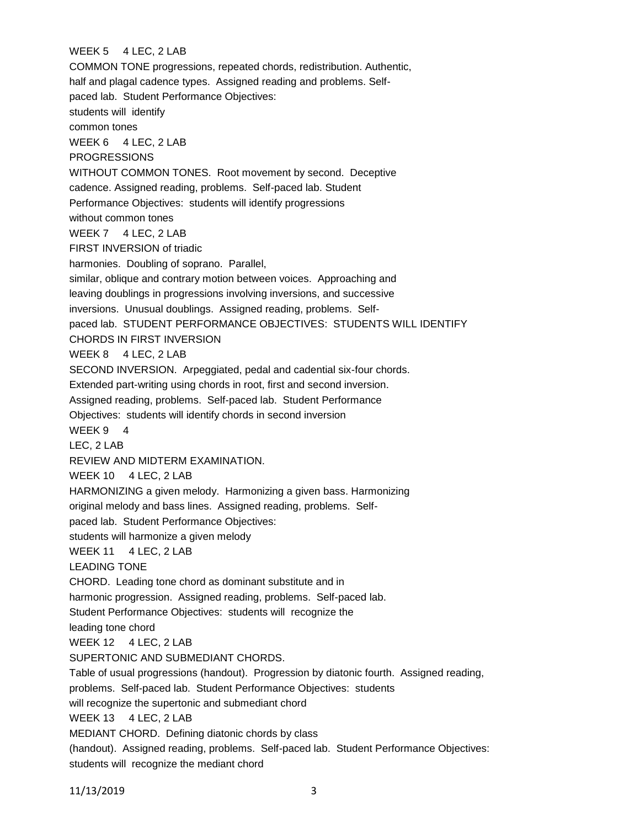# WEEK 5 4 LEC, 2 LAB

COMMON TONE progressions, repeated chords, redistribution. Authentic, half and plagal cadence types. Assigned reading and problems. Selfpaced lab. Student Performance Objectives: students will identify common tones WEEK 6 4 LEC, 2 LAB **PROGRESSIONS** WITHOUT COMMON TONES. Root movement by second. Deceptive cadence. Assigned reading, problems. Self-paced lab. Student Performance Objectives: students will identify progressions without common tones WEEK 7 4 LEC, 2 LAB FIRST INVERSION of triadic harmonies. Doubling of soprano. Parallel, similar, oblique and contrary motion between voices. Approaching and leaving doublings in progressions involving inversions, and successive inversions. Unusual doublings. Assigned reading, problems. Selfpaced lab. STUDENT PERFORMANCE OBJECTIVES: STUDENTS WILL IDENTIFY CHORDS IN FIRST INVERSION WEEK 8 4 LEC, 2 LAB SECOND INVERSION. Arpeggiated, pedal and cadential six-four chords. Extended part-writing using chords in root, first and second inversion. Assigned reading, problems. Self-paced lab. Student Performance Objectives: students will identify chords in second inversion WEEK 9 4 LEC, 2 LAB REVIEW AND MIDTERM EXAMINATION. WEEK 10 4 LEC, 2 LAB HARMONIZING a given melody. Harmonizing a given bass. Harmonizing original melody and bass lines. Assigned reading, problems. Selfpaced lab. Student Performance Objectives: students will harmonize a given melody WEEK 11 4 LEC, 2 LAB LEADING TONE CHORD. Leading tone chord as dominant substitute and in harmonic progression. Assigned reading, problems. Self-paced lab. Student Performance Objectives: students will recognize the leading tone chord WEEK 12 4 LEC, 2 LAB SUPERTONIC AND SUBMEDIANT CHORDS. Table of usual progressions (handout). Progression by diatonic fourth. Assigned reading, problems. Self-paced lab. Student Performance Objectives: students will recognize the supertonic and submediant chord WEEK 13 4 LEC, 2 LAB MEDIANT CHORD. Defining diatonic chords by class (handout). Assigned reading, problems. Self-paced lab. Student Performance Objectives: students will recognize the mediant chord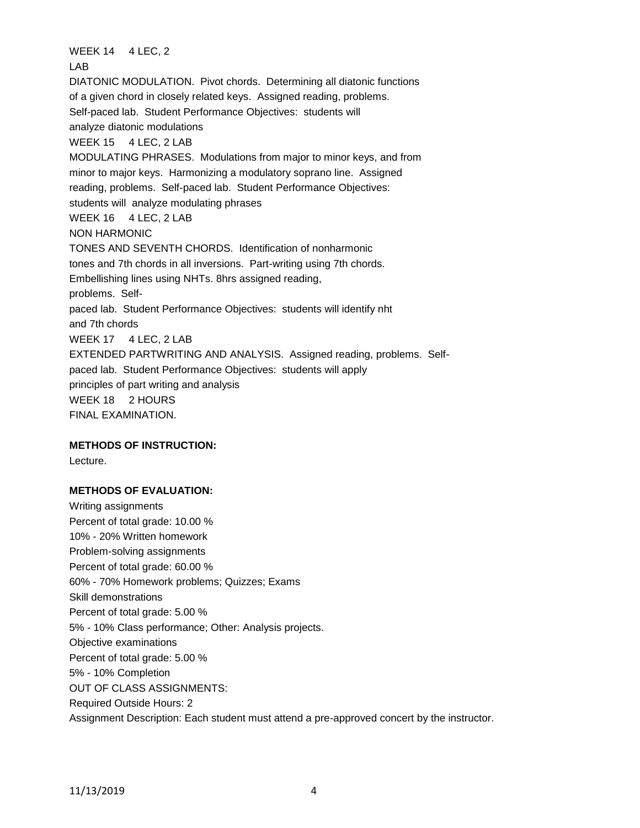WEEK 14 4 LEC, 2 LAB DIATONIC MODULATION. Pivot chords. Determining all diatonic functions of a given chord in closely related keys. Assigned reading, problems. Self-paced lab. Student Performance Objectives: students will analyze diatonic modulations WEEK 15 4 LEC, 2 LAB MODULATING PHRASES. Modulations from major to minor keys, and from minor to major keys. Harmonizing a modulatory soprano line. Assigned reading, problems. Self-paced lab. Student Performance Objectives: students will analyze modulating phrases WEEK 16 4 LEC, 2 LAB NON HARMONIC TONES AND SEVENTH CHORDS. Identification of nonharmonic tones and 7th chords in all inversions. Part-writing using 7th chords. Embellishing lines using NHTs. 8hrs assigned reading, problems. Selfpaced lab. Student Performance Objectives: students will identify nht and 7th chords WEEK 17 4 LEC, 2 LAB EXTENDED PARTWRITING AND ANALYSIS. Assigned reading, problems. Selfpaced lab. Student Performance Objectives: students will apply principles of part writing and analysis WEEK 18 2 HOURS FINAL EXAMINATION.

### **METHODS OF INSTRUCTION:**

Lecture.

#### **METHODS OF EVALUATION:**

Writing assignments Percent of total grade: 10.00 % 10% - 20% Written homework Problem-solving assignments Percent of total grade: 60.00 % 60% - 70% Homework problems; Quizzes; Exams Skill demonstrations Percent of total grade: 5.00 % 5% - 10% Class performance; Other: Analysis projects. Objective examinations Percent of total grade: 5.00 % 5% - 10% Completion OUT OF CLASS ASSIGNMENTS: Required Outside Hours: 2 Assignment Description: Each student must attend a pre-approved concert by the instructor.